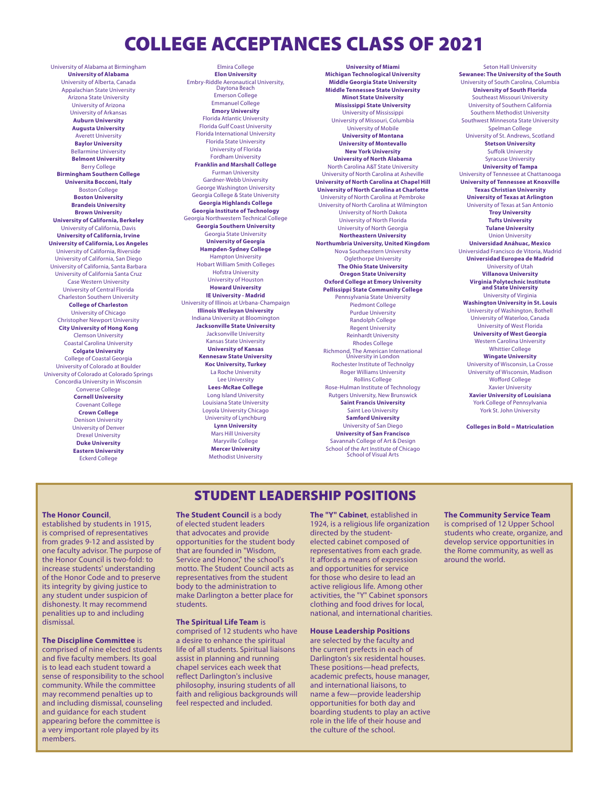# COLLEGE ACCEPTANCES CLASS OF 2021

University of Alabama at Birmingham **University of Alabama** University of Alberta, Canada Appalachian State University Arizona State University University of Arizona University of Arkansas **Auburn University Augusta University** Averett University **Baylor University** Bellarmine University **Belmont University** Berry College **Birmingham Southern College Universita Bocconi, Italy** Boston College **Boston University Brandeis University Brown Universit**y **University of California, Berkeley** University of California, Davis **University of California, Irvine University of California, Los Angeles** University of California, Riverside University of California, San Diego University of California, Santa Barbara University of California Santa Cruz Case Western University University of Central Florida Charleston Southern University **College of Charleston** University of Chicago Christopher Newport University **City University of Hong Kong** Clemson University Coastal Carolina University **Colgate University** College of Coastal Georgia University of Colorado at Boulder University of Colorado at Colorado Springs Concordia University in Wisconsin Converse College **Cornell University** Covenant College **Crown College** Denison University University of Denver Drexel University **Duke University Eastern University** Eckerd College

Elmira College **Elon University** Embry-Riddle Aeronautical University, Daytona Beach Emerson College Emmanuel College **Emory University** Florida Atlantic University Florida Gulf Coast University Florida International University Florida State University University of Florida Fordham University **Franklin and Marshall College** Furman University Gardner-Webb University George Washington University Georgia College & State University **Georgia Highlands College Georgia Institute of Technology** Georgia Northwestern Technical College **Georgia Southern University** Georgia State University **University of Georgia Hampden-Sydney College** Hampton University Hobart William Smith Colleges Hofstra University University of Houston **Howard University IE University - Madrid** University of Illinois at Urbana-Champaign **Illinois Wesleyan University** Indiana University at Bloomington **Jacksonville State University** Jacksonville University Kansas State University **University of Kansas Kennesaw State University Koc University, Turkey** La Roche University Lee University **Lees-McRae College** Long Island University Louisiana State University Loyola University Chicago University of Lynchburg **Lynn University** Mars Hill University Maryville College **Mercer University** Methodist University

**University of Miami Michigan Technological University Middle Georgia State University Middle Tennessee State University Minot State University Mississippi State University** University of Mississippi University of Missouri, Columbia University of Mobile **University of Montana University of Montevallo New York University University of North Alabama** North Carolina A&T State University University of North Carolina at Asheville **University of North Carolina at Chapel Hill University of North Carolina at Charlotte** University of North Carolina at Pembroke University of North Carolina at Wilmington University of North Dakota University of North Florida University of North Georgia **Northeastern University Northumbria University, United Kingdom** Nova Southeastern University Oglethorpe University **The Ohio State University Oregon State University Oxford College at Emory University Pellissippi State Community College** Pennsylvania State University Piedmont College Purdue University Randolph College Regent University Reinhardt University Rhodes College Richmond, The American International University in London Rochester Institute of Technolgy Roger Williams University Rollins College Rose-Hulman Institute of Technology Rutgers University, New Brunswick **Saint Francis University** Saint Leo University **Samford University** University of San Diego **University of San Francisco** Savannah College of Art & Design School of the Art Institute of Chicago School of Visual Arts

**Sewanee: The University of the South** University of South Carolina, Columbia **University of South Florida** Southeast Missouri University University of Southern California Southern Methodist University Southwest Minnesota State University Spelman College University of St. Andrews, Scotland **Stetson University** Suffolk University Syracuse University **University of Tampa** University of Tennessee at Chattanooga **University of Tennessee at Knoxville Texas Christian University University of Texas at Arlington** University of Texas at San Antonio **Troy University Tufts University Tulane University** Union University **Universidad Anáhuac, Mexico** Universidad Francisco de Vitoria, Madrid **Universidad Europea de Madrid** University of Utah **Villanova University Virginia Polytechnic Institute and State University** University of Virginia **Washington University in St. Louis** University of Washington, Bothell University of Waterloo, Canada University of West Florida **University of West Georgia** Western Carolina University Whittier College **Wingate University** University of Wisconsin, La Crosse University of Wisconsin, Madison Wofford College Xavier University **Xavier University of Louisiana** York College of Pennsylvania York St. John University

Seton Hall University

**Colleges in Bold = Matriculation**

## STUDENT LEADERSHIP POSITIONS

#### **The Honor Council**,

established by students in 1915, is comprised of representatives from grades 9-12 and assisted by one faculty advisor. The purpose of the Honor Council is two-fold: to increase students' understanding of the Honor Code and to preserve its integrity by giving justice to any student under suspicion of dishonesty. It may recommend penalities up to and including dismissal.

**The Discipline Committee** is comprised of nine elected students and five faculty members. Its goal is to lead each student toward a sense of responsibility to the school community. While the committee may recommend penalties up to and including dismissal, counseling and guidance for each student appearing before the committee is a very important role played by its members.

**The Student Council** is a body of elected student leaders that advocates and provide opportunities for the student body that are founded in "Wisdom, Service and Honor," the school's motto. The Student Council acts as representatives from the student body to the administration to make Darlington a better place for students.

#### **The Spiritual Life Team** is

comprised of 12 students who have a desire to enhance the spiritual life of all students. Spiritual liaisons assist in planning and running chapel services each week that reflect Darlington's inclusive philosophy, insuring students of all faith and religious backgrounds will feel respected and included.

**The "Y" Cabinet**, established in 1924, is a religious life organization directed by the studentelected cabinet composed of representatives from each grade. It affords a means of expression and opportunities for service for those who desire to lead an active religious life. Among other activities, the "Y" Cabinet sponsors clothing and food drives for local, national, and international charities.

### **House Leadership Positions**

are selected by the faculty and the current prefects in each of Darlington's six residental houses. These positions—head prefects, academic prefects, house manager, and international liaisons, to name a few—provide leadership opportunities for both day and boarding students to play an active role in the life of their house and the culture of the school.

#### **The Community Service Team** is comprised of 12 Upper School students who create, organize, and develop service opportunities in the Rome community, as well as around the world.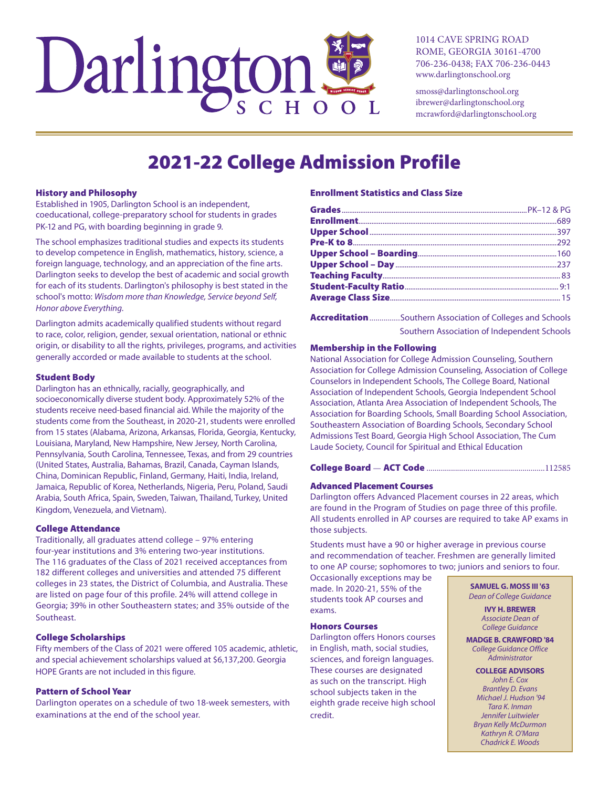

1014 CAVE SPRING ROAD ROME, GEORGIA 30161-4700 706-236-0438; FAX 706-236-0443 www.darlingtonschool.org

smoss@darlingtonschool.org ibrewer@darlingtonschool.org mcrawford@darlingtonschool.org

# **2021-22 College Admission Profile**

#### **History and Philosophy**

Established in 1905, Darlington School is an independent, coeducational, college-preparatory school for students in grades PK-12 and PG, with boarding beginning in grade 9.

The school emphasizes traditional studies and expects its students to develop competence in English, mathematics, history, science, a foreign language, technology, and an appreciation of the fine arts. Darlington seeks to develop the best of academic and social growth for each of its students. Darlington's philosophy is best stated in the school's motto: Wisdom more than Knowledge, Service beyond Self, Honor above Everything.

Darlington admits academically qualified students without regard to race, color, religion, gender, sexual orientation, national or ethnic origin, or disability to all the rights, privileges, programs, and activities generally accorded or made available to students at the school.

#### **Student Body**

Darlington has an ethnically, racially, geographically, and socioeconomically diverse student body. Approximately 52% of the students receive need-based financial aid. While the majority of the students come from the Southeast, in 2020-21, students were enrolled from 15 states (Alabama, Arizona, Arkansas, Florida, Georgia, Kentucky, Louisiana, Maryland, New Hampshire, New Jersey, North Carolina, Pennsylvania, South Carolina, Tennessee, Texas, and from 29 countries (United States, Australia, Bahamas, Brazil, Canada, Cayman Islands, China, Dominican Republic, Finland, Germany, Haiti, India, Ireland, Jamaica, Republic of Korea, Netherlands, Nigeria, Peru, Poland, Saudi Arabia, South Africa, Spain, Sweden, Taiwan, Thailand, Turkey, United Kingdom, Venezuela, and Vietnam).

#### **College Attendance**

Traditionally, all graduates attend college - 97% entering four-year institutions and 3% entering two-year institutions. The 116 graduates of the Class of 2021 received acceptances from 182 different colleges and universities and attended 75 different colleges in 23 states, the District of Columbia, and Australia. These are listed on page four of this profile. 24% will attend college in Georgia; 39% in other Southeastern states; and 35% outside of the Southeast.

#### **College Scholarships**

Fifty members of the Class of 2021 were offered 105 academic, athletic, and special achievement scholarships valued at \$6,137,200. Georgia HOPE Grants are not included in this figure.

## **Pattern of School Year**

Darlington operates on a schedule of two 18-week semesters, with examinations at the end of the school year.

## **Enrollment Statistics and Class Size**

Accreditation ................ Southern Association of Colleges and Schools Southern Association of Independent Schools

#### **Membership in the Following**

National Association for College Admission Counseling, Southern Association for College Admission Counseling, Association of College Counselors in Independent Schools, The College Board, National Association of Independent Schools, Georgia Independent School Association, Atlanta Area Association of Independent Schools, The Association for Boarding Schools, Small Boarding School Association, Southeastern Association of Boarding Schools, Secondary School Admissions Test Board, Georgia High School Association, The Cum Laude Society, Council for Spiritual and Ethical Education

#### **Advanced Placement Courses**

Darlington offers Advanced Placement courses in 22 areas, which are found in the Program of Studies on page three of this profile. All students enrolled in AP courses are required to take AP exams in those subjects.

Students must have a 90 or higher average in previous course and recommendation of teacher. Freshmen are generally limited to one AP course; sophomores to two; juniors and seniors to four.

Occasionally exceptions may be made. In 2020-21, 55% of the students took AP courses and exams.

### **Honors Courses**

Darlington offers Honors courses in English, math, social studies, sciences, and foreign languages. These courses are designated as such on the transcript. High school subjects taken in the eighth grade receive high school credit.

**SAMUEL G. MOSS III '63 Dean of College Guidance** 

> **IVY H. BREWER** Associate Dean of College Guidance

**MADGE B. CRAWFORD '84 College Guidance Office** Administrator

**COLLEGE ADVISORS** John E. Cox **Brantley D. Evans** Michael J. Hudson '94 Tara K. Inman Jennifer Luitwieler **Bryan Kelly McDurmon** Kathryn R. O'Mara

Chadrick E. Woods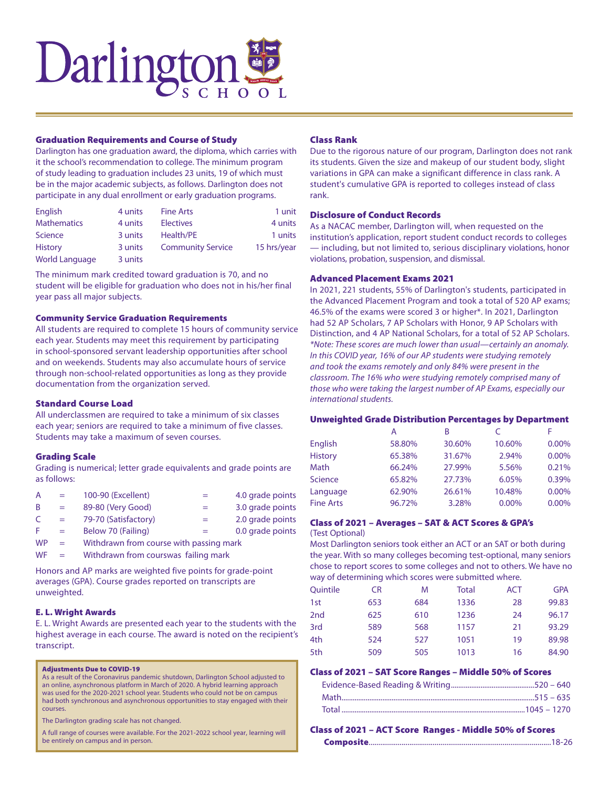

#### Graduation Requirements and Course of Study

Darlington has one graduation award, the diploma, which carries with it the school's recommendation to college. The minimum program of study leading to graduation includes 23 units, 19 of which must be in the major academic subjects, as follows. Darlington does not participate in any dual enrollment or early graduation programs.

| English               | 4 units | <b>Fine Arts</b>         | 1 unit      |
|-----------------------|---------|--------------------------|-------------|
| <b>Mathematics</b>    | 4 units | <b>Electives</b>         | 4 units     |
| Science               | 3 units | Health/PE                | 1 units     |
| <b>History</b>        | 3 units | <b>Community Service</b> | 15 hrs/year |
| <b>World Language</b> | 3 units |                          |             |

The minimum mark credited toward graduation is 70, and no student will be eligible for graduation who does not in his/her final year pass all major subjects.

#### Community Service Graduation Requirements

All students are required to complete 15 hours of community service each year. Students may meet this requirement by participating in school-sponsored servant leadership opportunities after school and on weekends. Students may also accumulate hours of service through non-school-related opportunities as long as they provide documentation from the organization served.

#### Standard Course Load

All underclassmen are required to take a minimum of six classes each year; seniors are required to take a minimum of five classes. Students may take a maximum of seven courses.

#### Grading Scale

Grading is numerical; letter grade equivalents and grade points are as follows:

| A         | $=$ | 100-90 (Excellent)                      |     | 4.0 grade points |
|-----------|-----|-----------------------------------------|-----|------------------|
| B         | $=$ | 89-80 (Very Good)                       |     | 3.0 grade points |
| C         | $=$ | 79-70 (Satisfactory)                    | $=$ | 2.0 grade points |
| E         | $=$ | Below 70 (Failing)                      | $=$ | 0.0 grade points |
| <b>WP</b> | $=$ | Withdrawn from course with passing mark |     |                  |
|           |     |                                         |     |                  |

 $WF =$  Withdrawn from courswas failing mark

Honors and AP marks are weighted five points for grade-point averages (GPA). Course grades reported on transcripts are unweighted.

### E. L. Wright Awards

E. L. Wright Awards are presented each year to the students with the highest average in each course. The award is noted on the recipient's transcript.

#### Adjustments Due to COVID-19

As a result of the Coronavirus pandemic shutdown, Darlington School adjusted to an online, asynchronous platform in March of 2020. A hybrid learning approach was used for the 2020-2021 school year. Students who could not be on campus had both synchronous and asynchronous opportunities to stay engaged with their courses.

The Darlington grading scale has not changed.

A full range of courses were available. For the 2021-2022 school year, learning will be entirely on campus and in person.

## Class Rank

Due to the rigorous nature of our program, Darlington does not rank its students. Given the size and makeup of our student body, slight variations in GPA can make a significant difference in class rank. A student's cumulative GPA is reported to colleges instead of class rank.

#### Disclosure of Conduct Records

As a NACAC member, Darlington will, when requested on the institution's application, report student conduct records to colleges — including, but not limited to, serious disciplinary violations, honor violations, probation, suspension, and dismissal.

## Advanced Placement Exams 2021

In 2021, 221 students, 55% of Darlington's students, participated in the Advanced Placement Program and took a total of 520 AP exams; 46.5% of the exams were scored 3 or higher\*. In 2021, Darlington had 52 AP Scholars, 7 AP Scholars with Honor, 9 AP Scholars with Distinction, and 4 AP National Scholars, for a total of 52 AP Scholars. *\*Note: These scores are much lower than usual—certainly an anomaly. In this COVID year, 16% of our AP students were studying remotely and took the exams remotely and only 84% were present in the classroom. The 16% who were studying remotely comprised many of those who were taking the largest number of AP Exams, especially our international students.*

#### Unweighted Grade Distribution Percentages by Department

|                  | А      | B      |        | F     |
|------------------|--------|--------|--------|-------|
| English          | 58.80% | 30.60% | 10.60% | 0.00% |
| <b>History</b>   | 65.38% | 31.67% | 2.94%  | 0.00% |
| Math             | 66.24% | 27.99% | 5.56%  | 0.21% |
| Science          | 65.82% | 27.73% | 6.05%  | 0.39% |
| Language         | 62.90% | 26.61% | 10.48% | 0.00% |
| <b>Fine Arts</b> | 96.72% | 3.28%  | 0.00%  | 0.00% |

## Class of 2021 – Averages – SAT & ACT Scores & GPA's

## (Test Optional)

Most Darlington seniors took either an ACT or an SAT or both during the year. With so many colleges becoming test-optional, many seniors chose to report scores to some colleges and not to others. We have no way of determining which scores were submitted where.

| Quintile        | CR  | M   | Total | <b>ACT</b> | <b>GPA</b> |
|-----------------|-----|-----|-------|------------|------------|
| 1st             | 653 | 684 | 1336  | 28         | 99.83      |
| 2 <sub>nd</sub> | 625 | 610 | 1236  | 24         | 96.17      |
| 3rd             | 589 | 568 | 1157  | 21         | 93.29      |
| 4th             | 524 | 527 | 1051  | 19         | 89.98      |
| 5th             | 509 | 505 | 1013  | 16         | 84.90      |

## Class of 2021 – SAT Score Ranges – Middle 50% of Scores

## Class of 2021 – ACT Score Ranges - Middle 50% of Scores

Composite..............................................................................................18-26